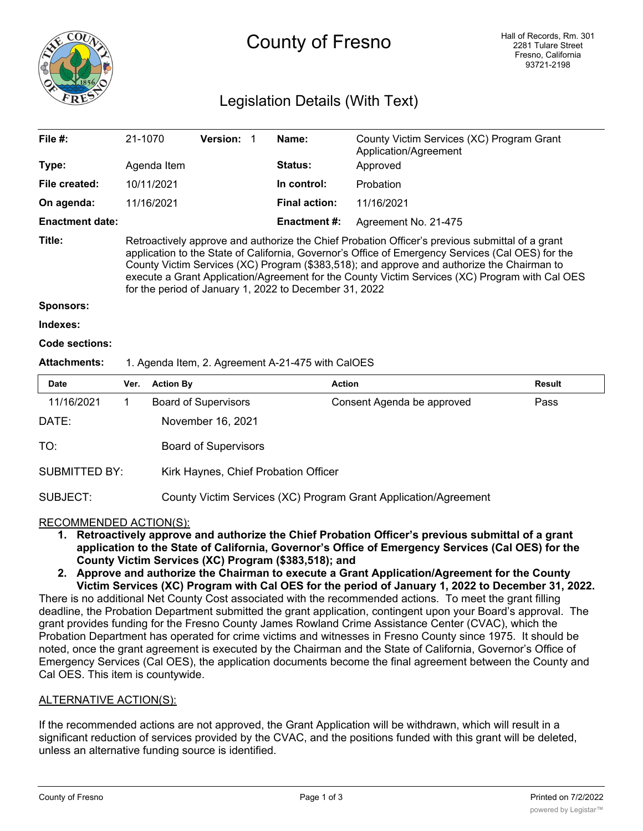

# County of Fresno

# Legislation Details (With Text)

| File $#$ :             | 21-1070                                                                                                                                                                                                                                                                                                                                                                                                                                                        | <b>Version:</b> | Name:               | County Victim Services (XC) Program Grant<br>Application/Agreement |  |  |
|------------------------|----------------------------------------------------------------------------------------------------------------------------------------------------------------------------------------------------------------------------------------------------------------------------------------------------------------------------------------------------------------------------------------------------------------------------------------------------------------|-----------------|---------------------|--------------------------------------------------------------------|--|--|
| Type:                  | Agenda Item                                                                                                                                                                                                                                                                                                                                                                                                                                                    |                 | Status:             | Approved                                                           |  |  |
| File created:          | 10/11/2021                                                                                                                                                                                                                                                                                                                                                                                                                                                     |                 | In control:         | Probation                                                          |  |  |
| On agenda:             | 11/16/2021                                                                                                                                                                                                                                                                                                                                                                                                                                                     |                 | Final action:       | 11/16/2021                                                         |  |  |
| <b>Enactment date:</b> |                                                                                                                                                                                                                                                                                                                                                                                                                                                                |                 | <b>Enactment #:</b> | Agreement No. 21-475                                               |  |  |
| Title:                 | Retroactively approve and authorize the Chief Probation Officer's previous submittal of a grant<br>application to the State of California, Governor's Office of Emergency Services (Cal OES) for the<br>County Victim Services (XC) Program (\$383,518); and approve and authorize the Chairman to<br>execute a Grant Application/Agreement for the County Victim Services (XC) Program with Cal OES<br>for the period of January 1, 2022 to December 31, 2022 |                 |                     |                                                                    |  |  |
| Sponsors:              |                                                                                                                                                                                                                                                                                                                                                                                                                                                                |                 |                     |                                                                    |  |  |

```
Indexes:
```

```
Code sections:
```
#### **Attachments:** 1. Agenda Item, 2. Agreement A-21-475 with CalOES

| <b>Date</b>          | Ver. | <b>Action By</b>                                                | <b>Action</b>              | Result |  |  |
|----------------------|------|-----------------------------------------------------------------|----------------------------|--------|--|--|
| 11/16/2021           |      | <b>Board of Supervisors</b>                                     | Consent Agenda be approved | Pass   |  |  |
| DATE:                |      | November 16, 2021                                               |                            |        |  |  |
| TO:                  |      | <b>Board of Supervisors</b>                                     |                            |        |  |  |
| <b>SUBMITTED BY:</b> |      | Kirk Haynes, Chief Probation Officer                            |                            |        |  |  |
| SUBJECT:             |      | County Victim Services (XC) Program Grant Application/Agreement |                            |        |  |  |

#### RECOMMENDED ACTION(S):

- **1. Retroactively approve and authorize the Chief Probation Officer's previous submittal of a grant application to the State of California, Governor's Office of Emergency Services (Cal OES) for the County Victim Services (XC) Program (\$383,518); and**
- **2. Approve and authorize the Chairman to execute a Grant Application/Agreement for the County Victim Services (XC) Program with Cal OES for the period of January 1, 2022 to December 31, 2022.**

There is no additional Net County Cost associated with the recommended actions. To meet the grant filling deadline, the Probation Department submitted the grant application, contingent upon your Board's approval. The grant provides funding for the Fresno County James Rowland Crime Assistance Center (CVAC), which the Probation Department has operated for crime victims and witnesses in Fresno County since 1975. It should be noted, once the grant agreement is executed by the Chairman and the State of California, Governor's Office of Emergency Services (Cal OES), the application documents become the final agreement between the County and Cal OES. This item is countywide.

#### ALTERNATIVE ACTION(S):

If the recommended actions are not approved, the Grant Application will be withdrawn, which will result in a significant reduction of services provided by the CVAC, and the positions funded with this grant will be deleted, unless an alternative funding source is identified.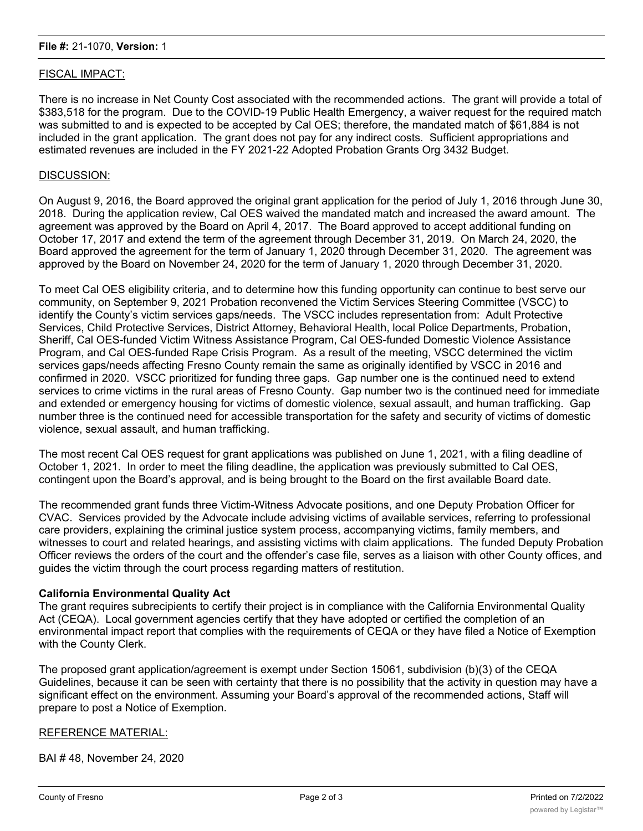#### FISCAL IMPACT:

There is no increase in Net County Cost associated with the recommended actions. The grant will provide a total of \$383,518 for the program. Due to the COVID-19 Public Health Emergency, a waiver request for the required match was submitted to and is expected to be accepted by Cal OES; therefore, the mandated match of \$61,884 is not included in the grant application. The grant does not pay for any indirect costs. Sufficient appropriations and estimated revenues are included in the FY 2021-22 Adopted Probation Grants Org 3432 Budget.

#### DISCUSSION:

On August 9, 2016, the Board approved the original grant application for the period of July 1, 2016 through June 30, 2018. During the application review, Cal OES waived the mandated match and increased the award amount. The agreement was approved by the Board on April 4, 2017. The Board approved to accept additional funding on October 17, 2017 and extend the term of the agreement through December 31, 2019. On March 24, 2020, the Board approved the agreement for the term of January 1, 2020 through December 31, 2020. The agreement was approved by the Board on November 24, 2020 for the term of January 1, 2020 through December 31, 2020.

To meet Cal OES eligibility criteria, and to determine how this funding opportunity can continue to best serve our community, on September 9, 2021 Probation reconvened the Victim Services Steering Committee (VSCC) to identify the County's victim services gaps/needs. The VSCC includes representation from: Adult Protective Services, Child Protective Services, District Attorney, Behavioral Health, local Police Departments, Probation, Sheriff, Cal OES-funded Victim Witness Assistance Program, Cal OES-funded Domestic Violence Assistance Program, and Cal OES-funded Rape Crisis Program. As a result of the meeting, VSCC determined the victim services gaps/needs affecting Fresno County remain the same as originally identified by VSCC in 2016 and confirmed in 2020. VSCC prioritized for funding three gaps. Gap number one is the continued need to extend services to crime victims in the rural areas of Fresno County. Gap number two is the continued need for immediate and extended or emergency housing for victims of domestic violence, sexual assault, and human trafficking. Gap number three is the continued need for accessible transportation for the safety and security of victims of domestic violence, sexual assault, and human trafficking.

The most recent Cal OES request for grant applications was published on June 1, 2021, with a filing deadline of October 1, 2021. In order to meet the filing deadline, the application was previously submitted to Cal OES, contingent upon the Board's approval, and is being brought to the Board on the first available Board date.

The recommended grant funds three Victim-Witness Advocate positions, and one Deputy Probation Officer for CVAC. Services provided by the Advocate include advising victims of available services, referring to professional care providers, explaining the criminal justice system process, accompanying victims, family members, and witnesses to court and related hearings, and assisting victims with claim applications. The funded Deputy Probation Officer reviews the orders of the court and the offender's case file, serves as a liaison with other County offices, and guides the victim through the court process regarding matters of restitution.

#### **California Environmental Quality Act**

The grant requires subrecipients to certify their project is in compliance with the California Environmental Quality Act (CEQA). Local government agencies certify that they have adopted or certified the completion of an environmental impact report that complies with the requirements of CEQA or they have filed a Notice of Exemption with the County Clerk.

The proposed grant application/agreement is exempt under Section 15061, subdivision (b)(3) of the CEQA Guidelines, because it can be seen with certainty that there is no possibility that the activity in question may have a significant effect on the environment. Assuming your Board's approval of the recommended actions, Staff will prepare to post a Notice of Exemption.

#### REFERENCE MATERIAL:

BAI # 48, November 24, 2020